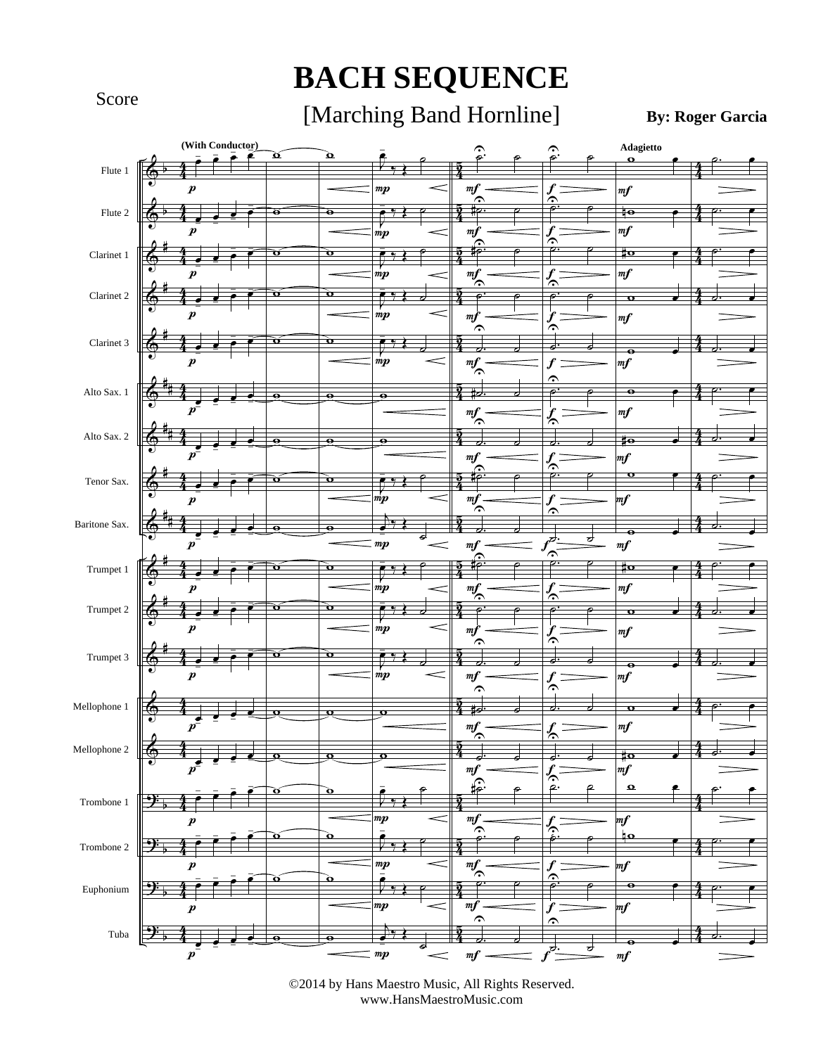#### Score

## **BACH SEQUENCE**

#### [Marching Band Hornline]

**By: Roger Garcia**



<sup>©2014</sup> by Hans Maestro Music, All Rights Reserved. www.HansMaestroMusic.com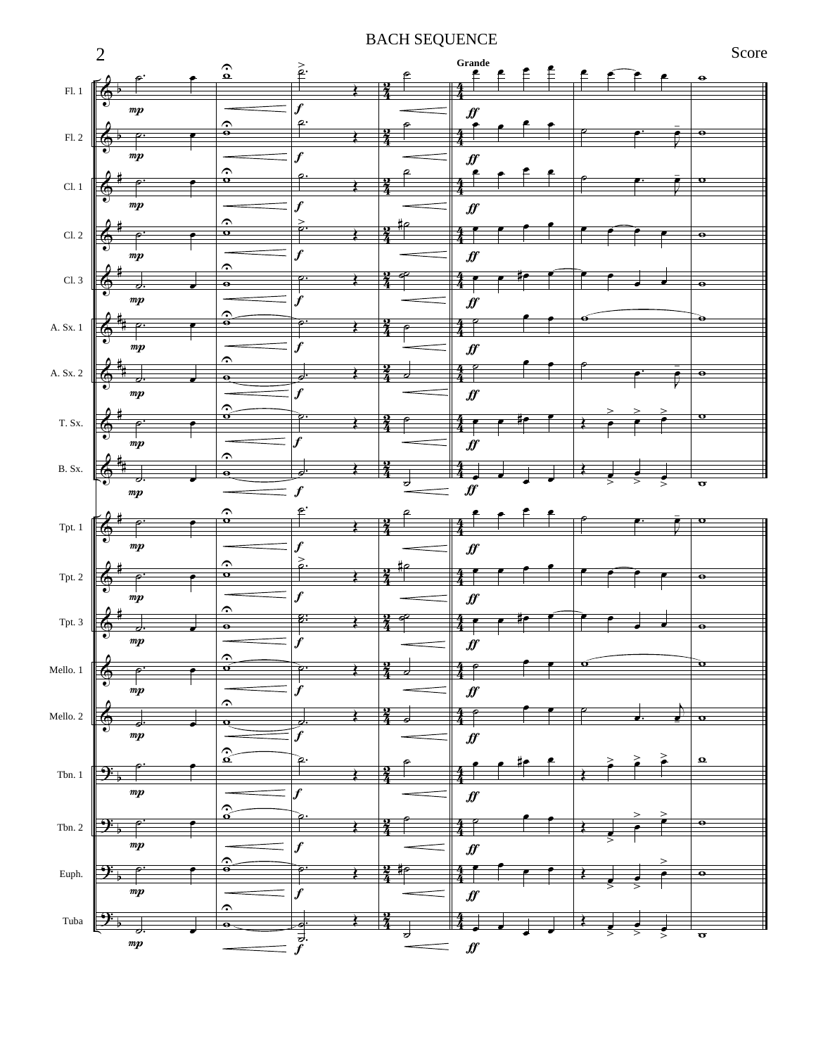#### BACH SEQUENCE

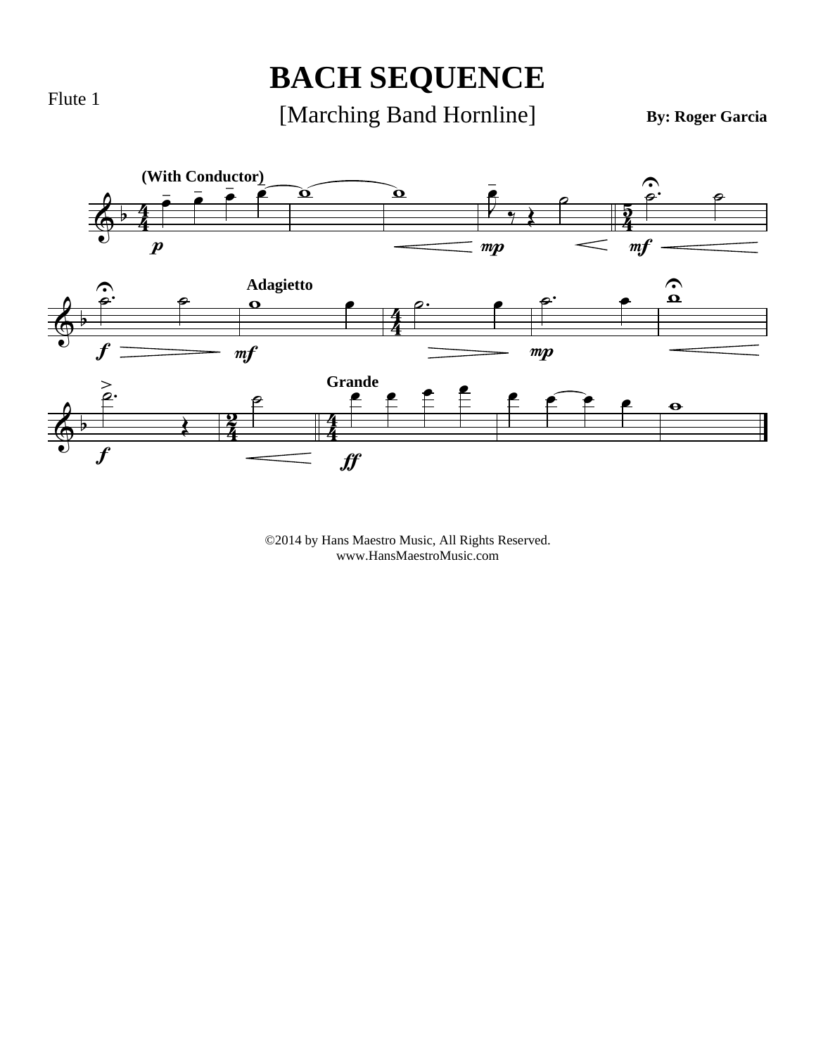#### **BACH SEQUENCE**

[Marching Band Hornline]

**By: Roger Garcia**



©2014 by Hans Maestro Music, All Rights Reserved. www.HansMaestroMusic.com

Flute 1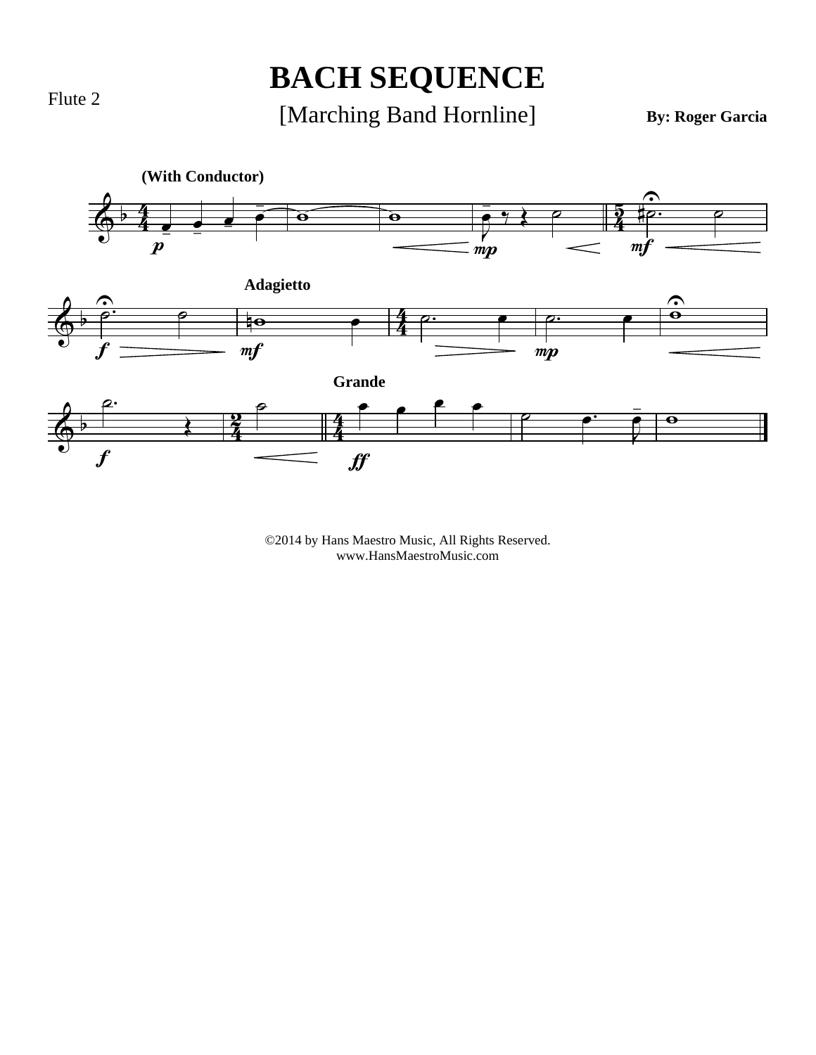# **BACH SEQUENCE**

[Marching Band Hornline]

**By: Roger Garcia**

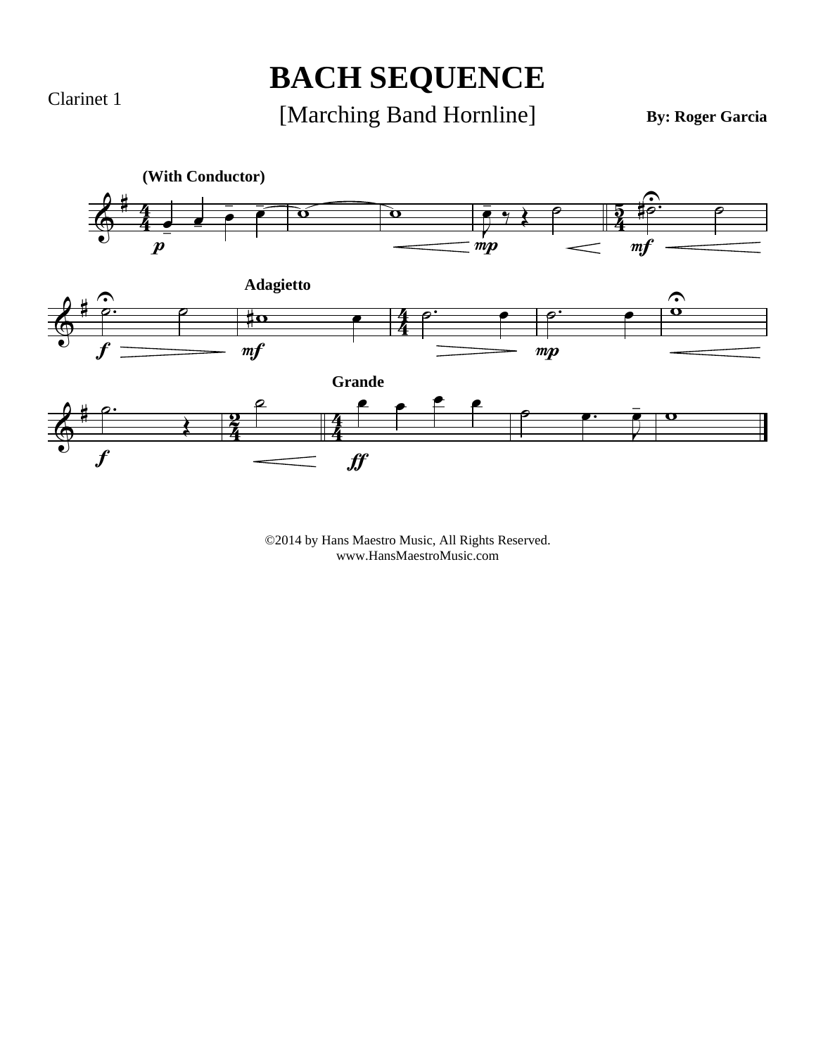Clarinet 1

## **BACH SEQUENCE**

[Marching Band Hornline]

**By: Roger Garcia**

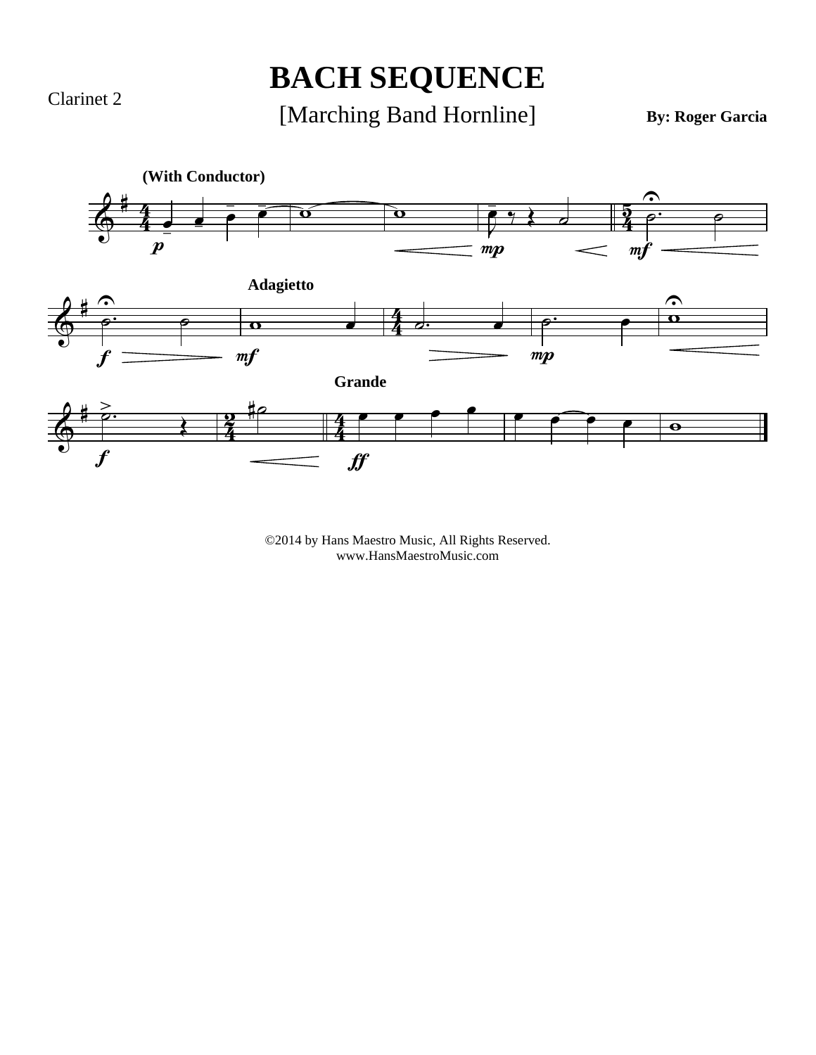Clarinet 2

## **BACH SEQUENCE**

[Marching Band Hornline]

**By: Roger Garcia**

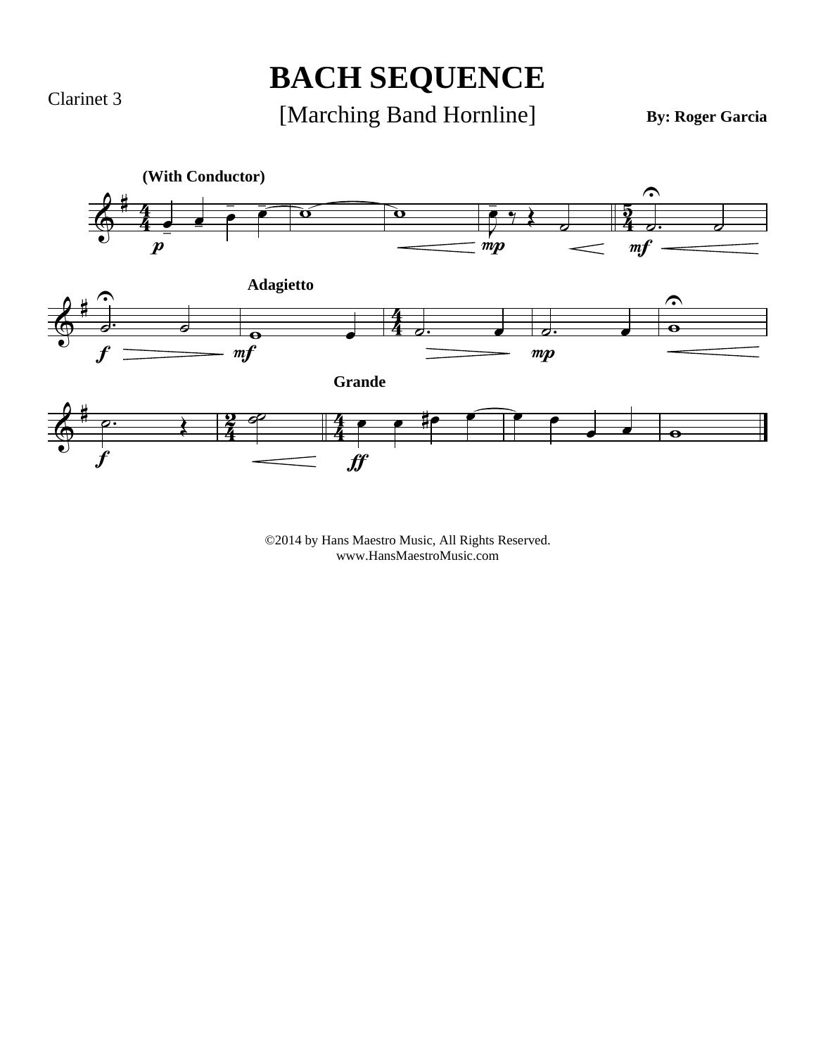Clarinet 3

## **BACH SEQUENCE**

#### [Marching Band Hornline]

**By: Roger Garcia**

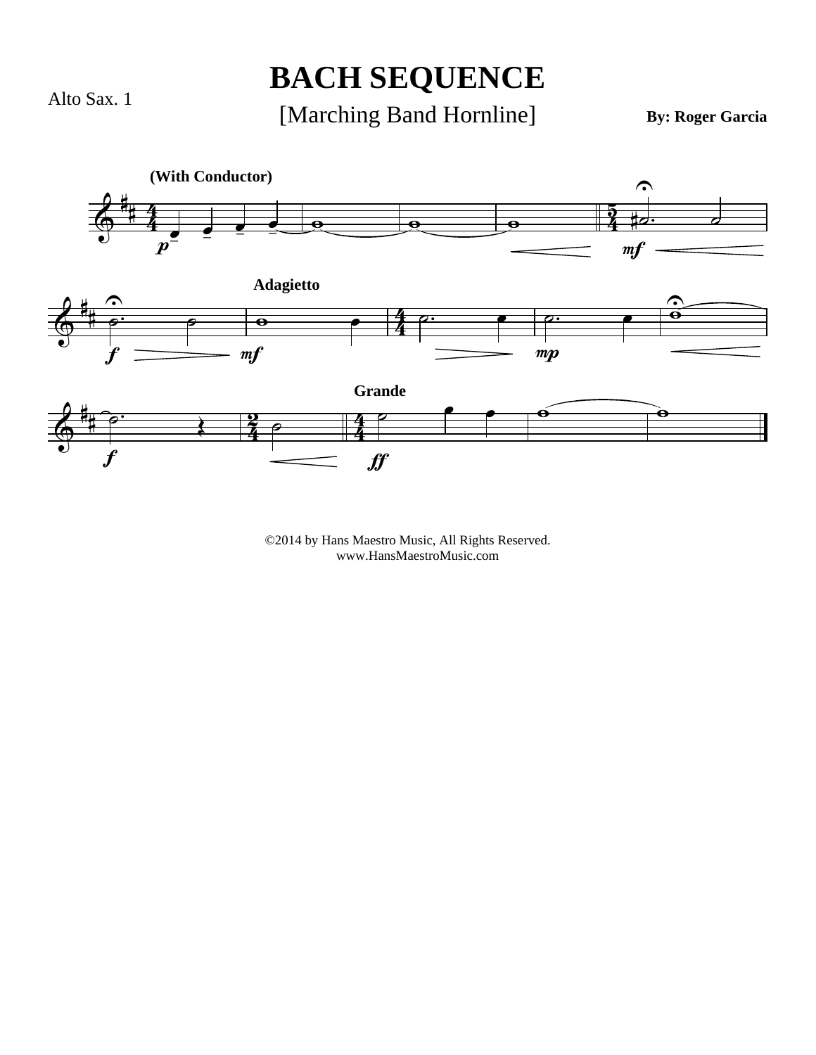Alto Sax. 1

#### **BACH SEQUENCE**

[Marching Band Hornline]

**By: Roger Garcia**

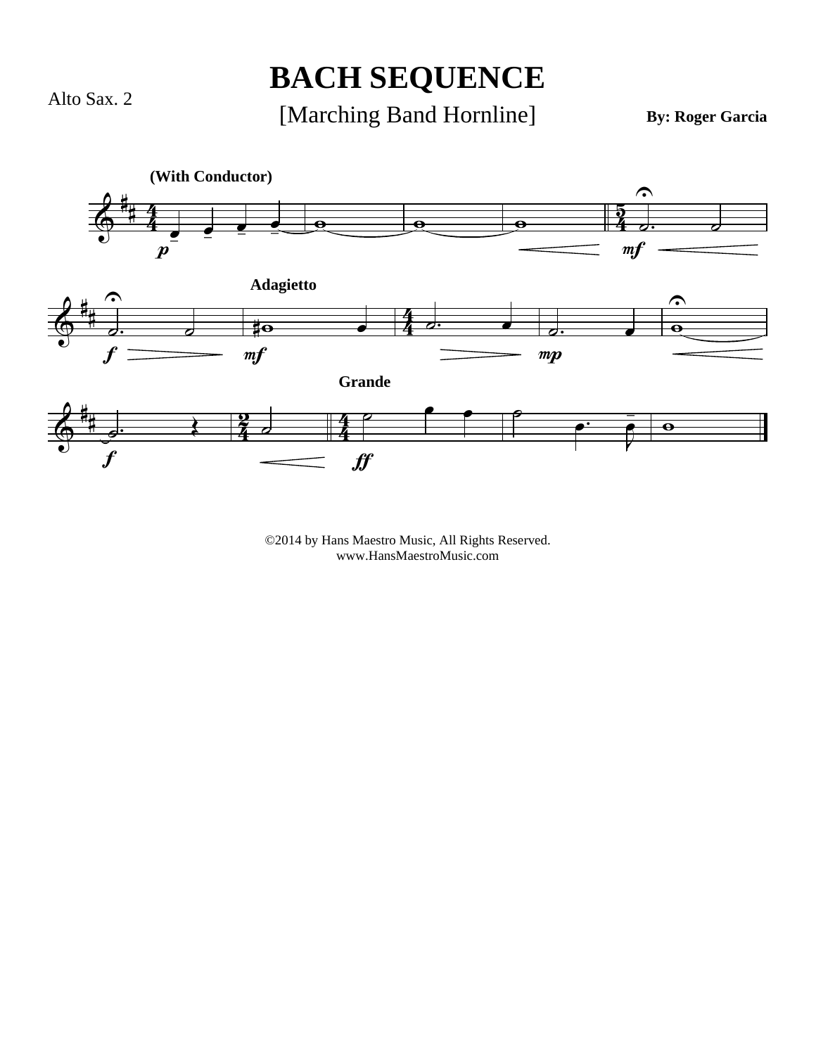Alto Sax. 2

## **BACH SEQUENCE**

[Marching Band Hornline]

**By: Roger Garcia**

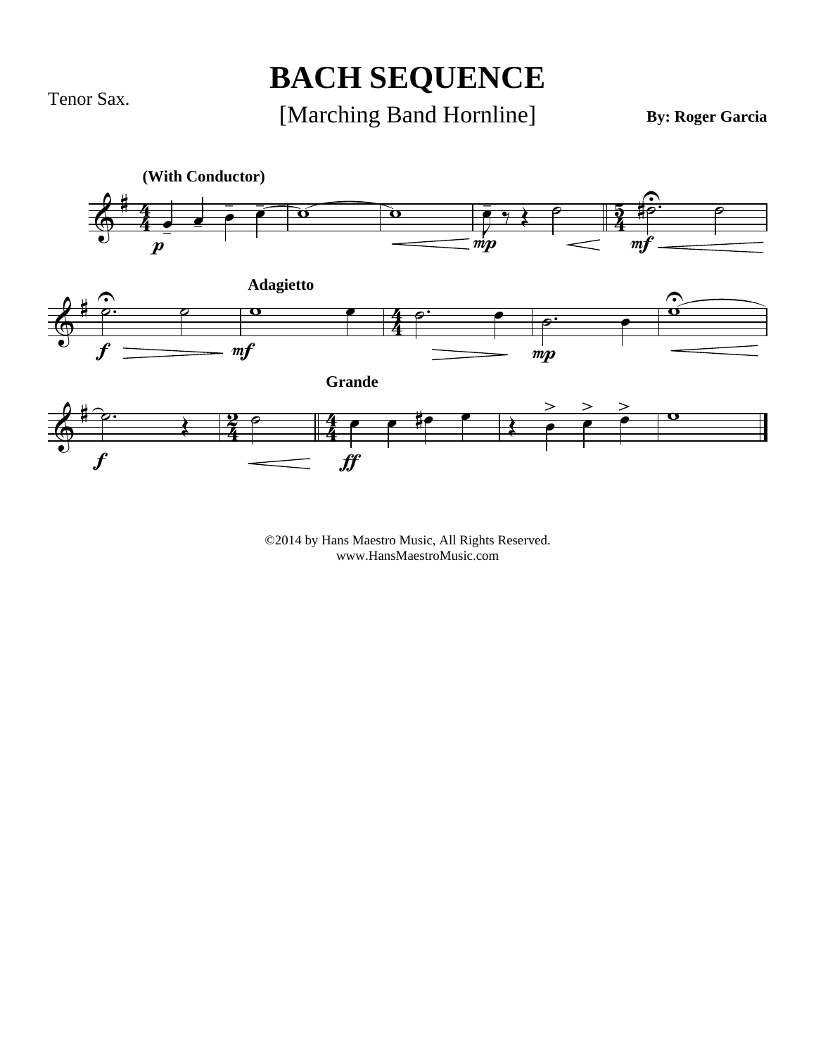Tenor Sax.

## **BACH SEQUENCE**

#### [Marching Band Hornline]

**By: Roger Garcia**

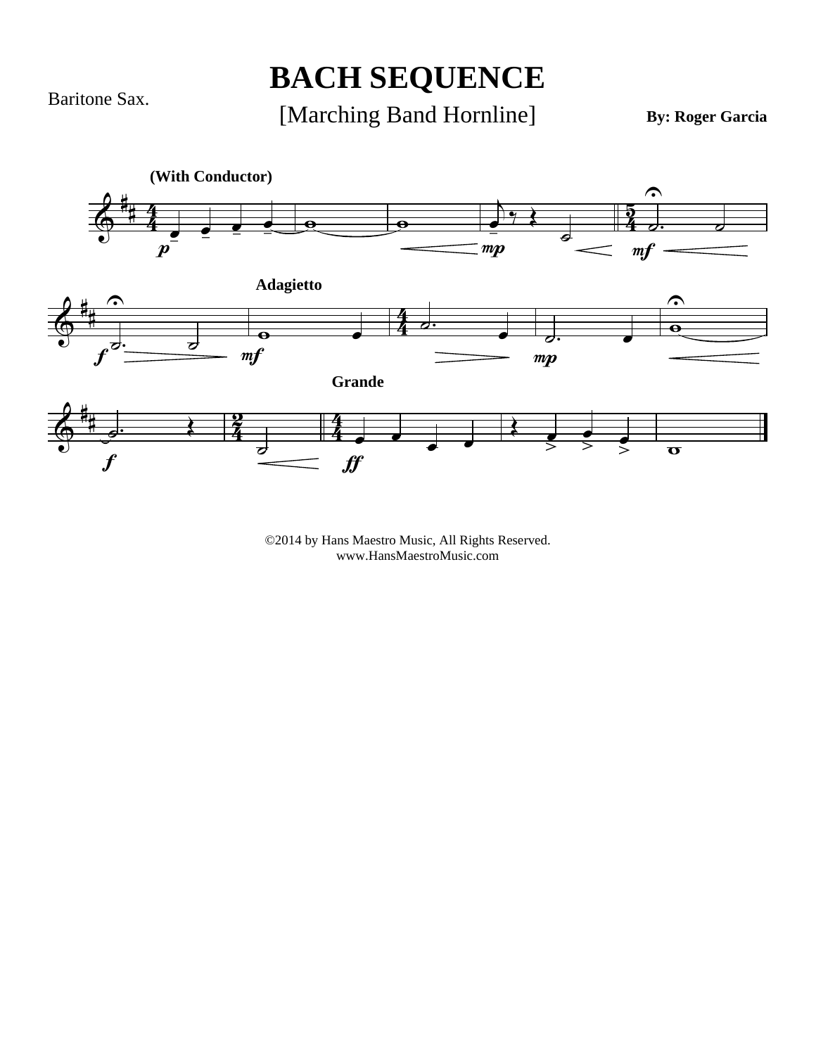Baritone Sax.

## **BACH SEQUENCE**

[Marching Band Hornline]

**By: Roger Garcia**

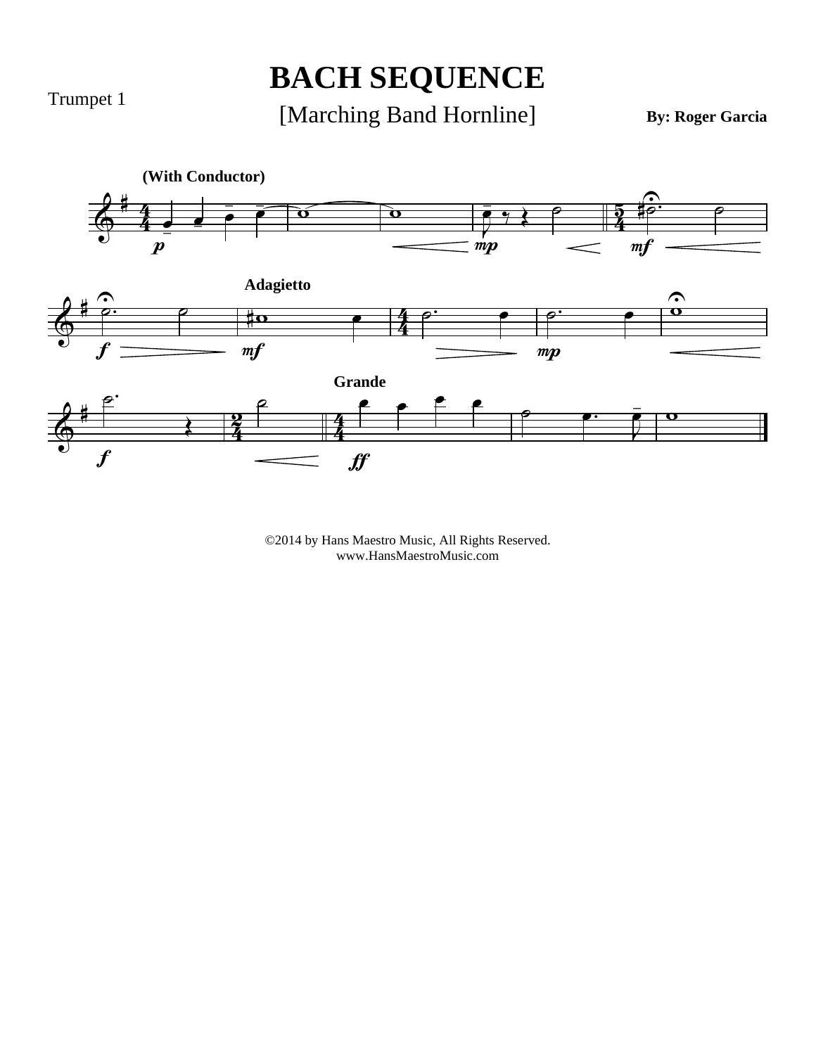Trumpet 1

## **BACH SEQUENCE**

[Marching Band Hornline]

**By: Roger Garcia**

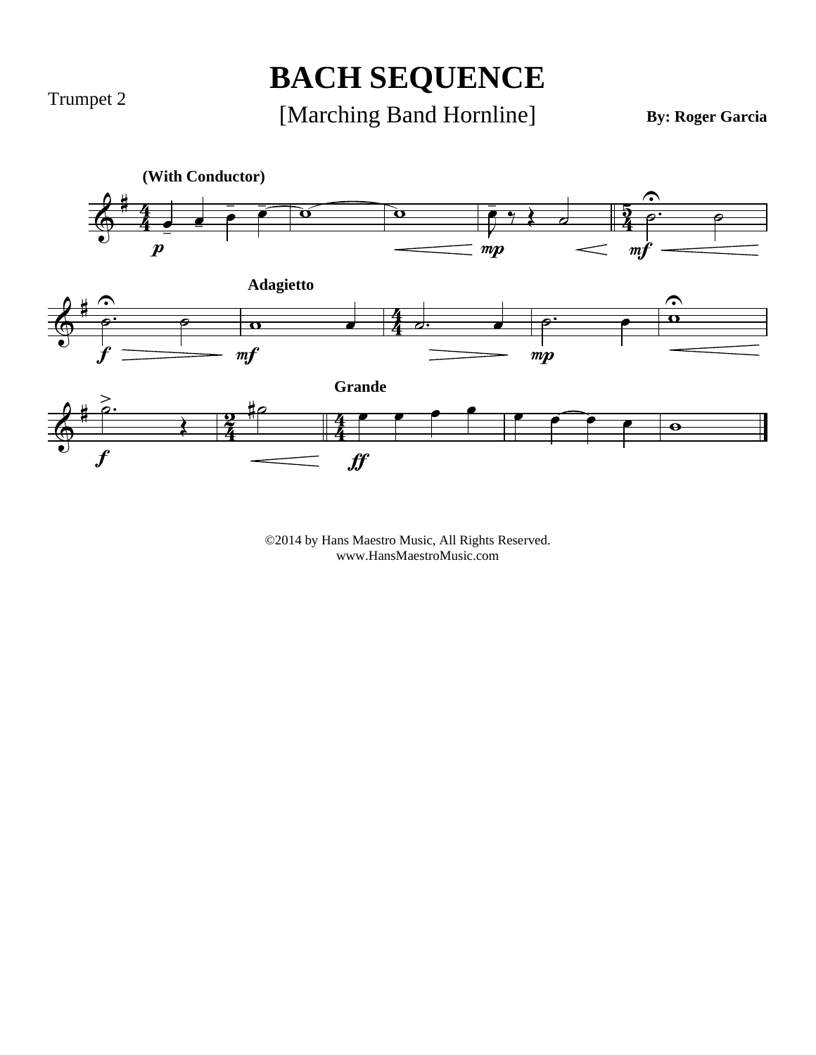Trumpet 2

## **BACH SEQUENCE**

[Marching Band Hornline]

**By: Roger Garcia**

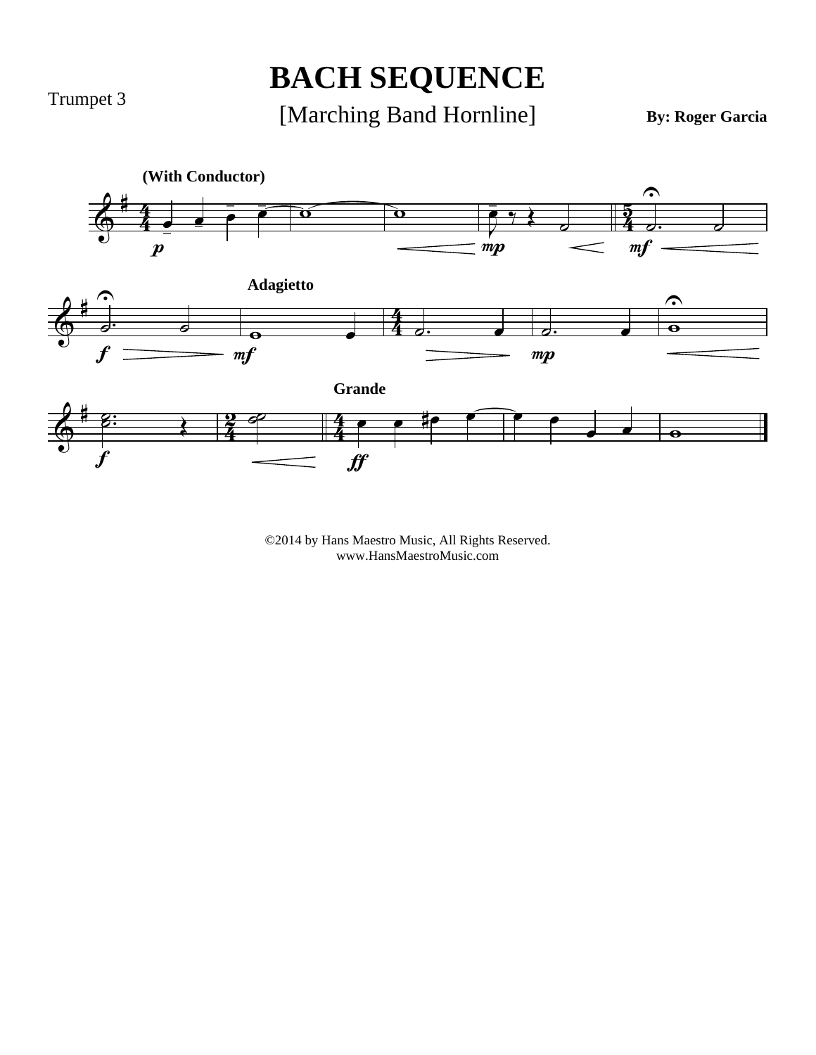Trumpet 3

## **BACH SEQUENCE**

#### [Marching Band Hornline]

**By: Roger Garcia**

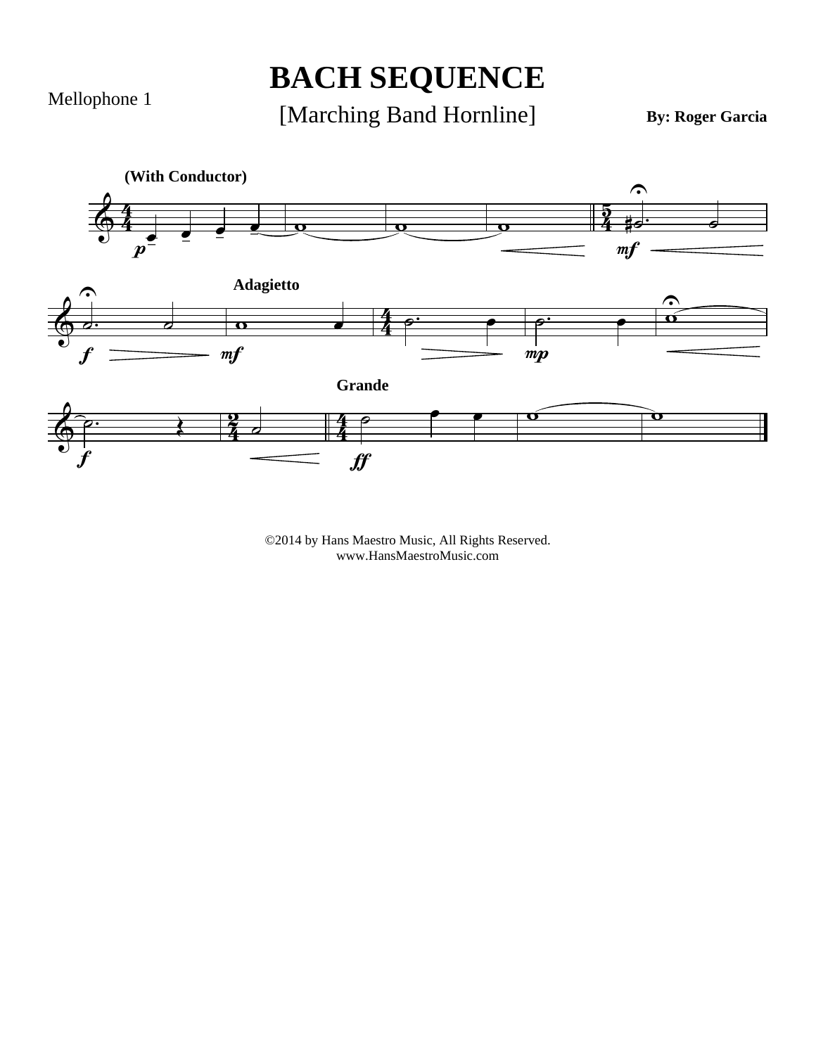Mellophone 1

## **BACH SEQUENCE**

[Marching Band Hornline]

**By: Roger Garcia**

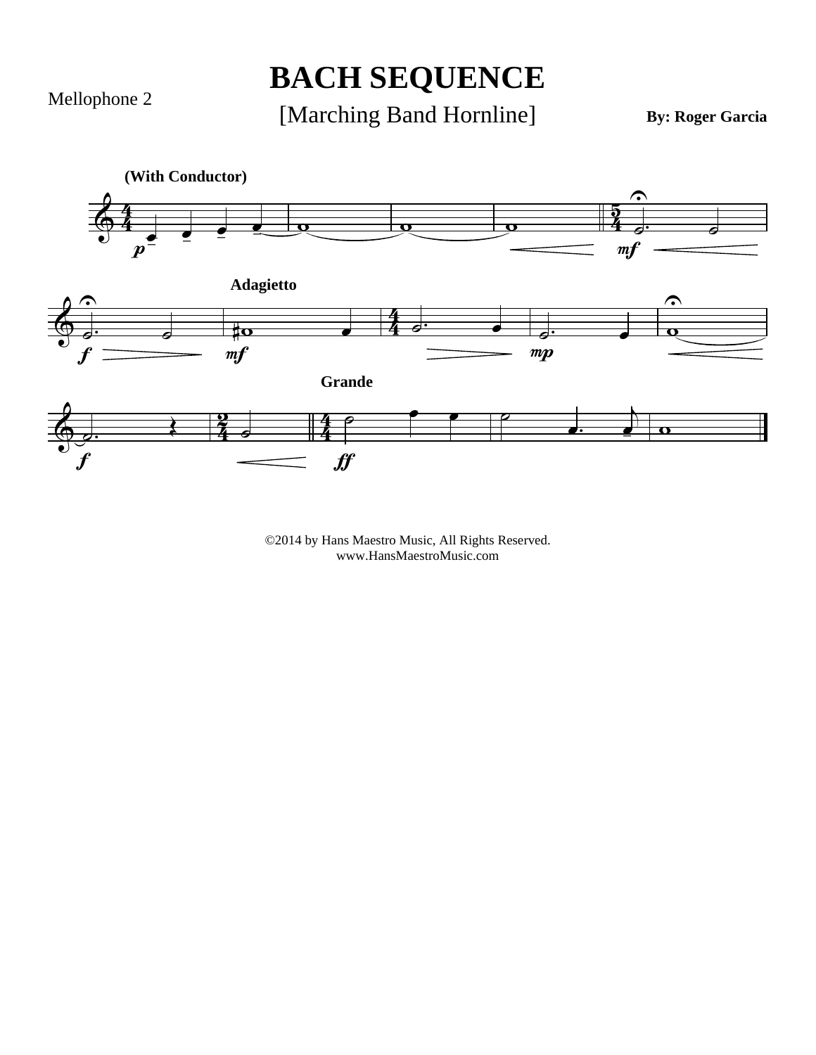Mellophone 2

### **BACH SEQUENCE**

[Marching Band Hornline]

**By: Roger Garcia**

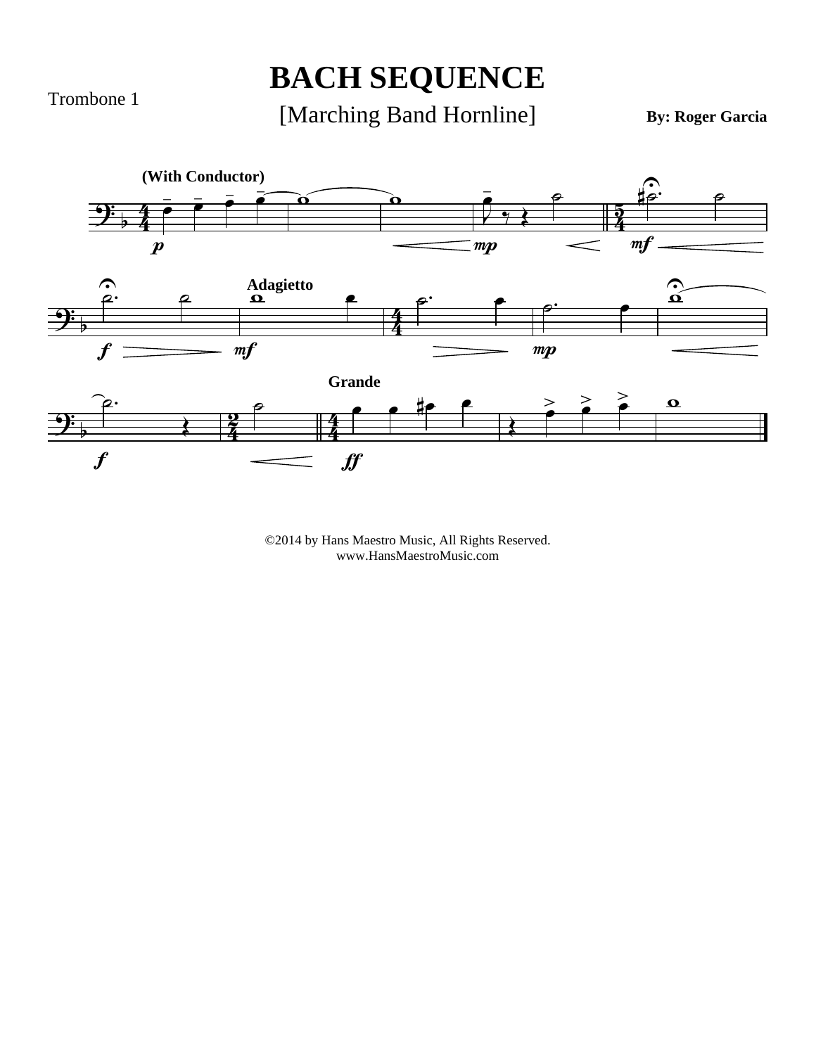Trombone 1

## **BACH SEQUENCE**

[Marching Band Hornline]

**By: Roger Garcia**

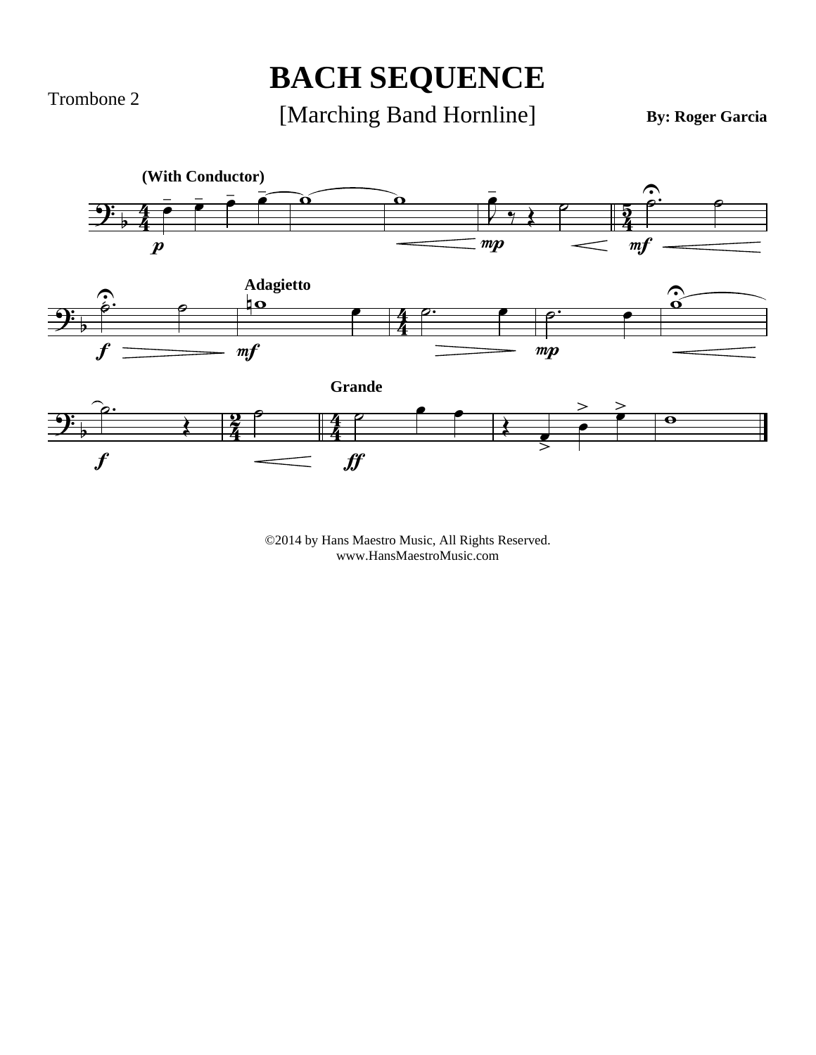Trombone 2

## **BACH SEQUENCE**

#### [Marching Band Hornline]

**By: Roger Garcia**

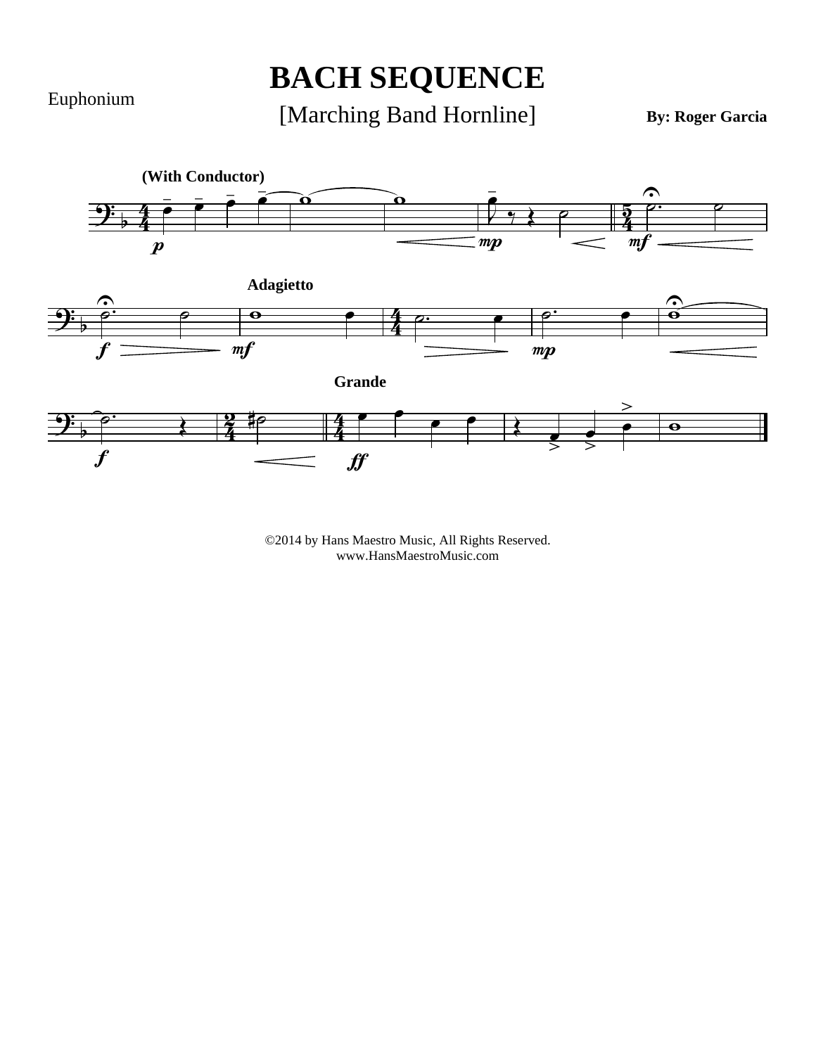Euphonium

## **BACH SEQUENCE**

#### [Marching Band Hornline]

**By: Roger Garcia**